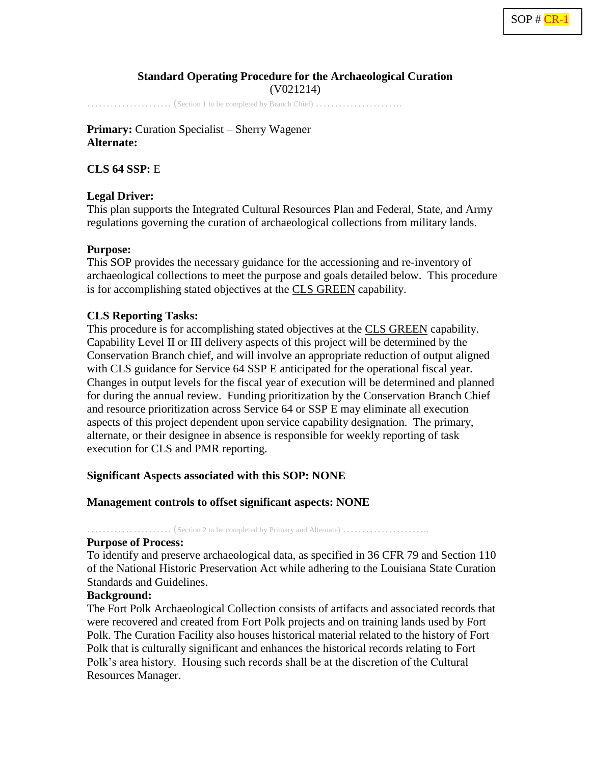#### **Standard Operating Procedure for the Archaeological Curation** (V021214)

…………………. (Section 1 to be completed by Branch Chief) …………………..

**Primary:** Curation Specialist – Sherry Wagener **Alternate:**

**CLS 64 SSP:** E

#### **Legal Driver:**

This plan supports the Integrated Cultural Resources Plan and Federal, State, and Army regulations governing the curation of archaeological collections from military lands.

#### **Purpose:**

This SOP provides the necessary guidance for the accessioning and re-inventory of archaeological collections to meet the purpose and goals detailed below. This procedure is for accomplishing stated objectives at the CLS GREEN capability.

#### **CLS Reporting Tasks:**

This procedure is for accomplishing stated objectives at the CLS GREEN capability. Capability Level II or III delivery aspects of this project will be determined by the Conservation Branch chief, and will involve an appropriate reduction of output aligned with CLS guidance for Service 64 SSP E anticipated for the operational fiscal year. Changes in output levels for the fiscal year of execution will be determined and planned for during the annual review. Funding prioritization by the Conservation Branch Chief and resource prioritization across Service 64 or SSP E may eliminate all execution aspects of this project dependent upon service capability designation. The primary, alternate, or their designee in absence is responsible for weekly reporting of task execution for CLS and PMR reporting.

## **Significant Aspects associated with this SOP: NONE**

#### **Management controls to offset significant aspects: NONE**

…………………. (Section 2 to be completed by Primary and Alternate) …………………..

#### **Purpose of Process:**

To identify and preserve archaeological data, as specified in 36 CFR 79 and Section 110 of the National Historic Preservation Act while adhering to the Louisiana State Curation Standards and Guidelines.

## **Background:**

The Fort Polk Archaeological Collection consists of artifacts and associated records that were recovered and created from Fort Polk projects and on training lands used by Fort Polk. The Curation Facility also houses historical material related to the history of Fort Polk that is culturally significant and enhances the historical records relating to Fort Polk's area history. Housing such records shall be at the discretion of the Cultural Resources Manager.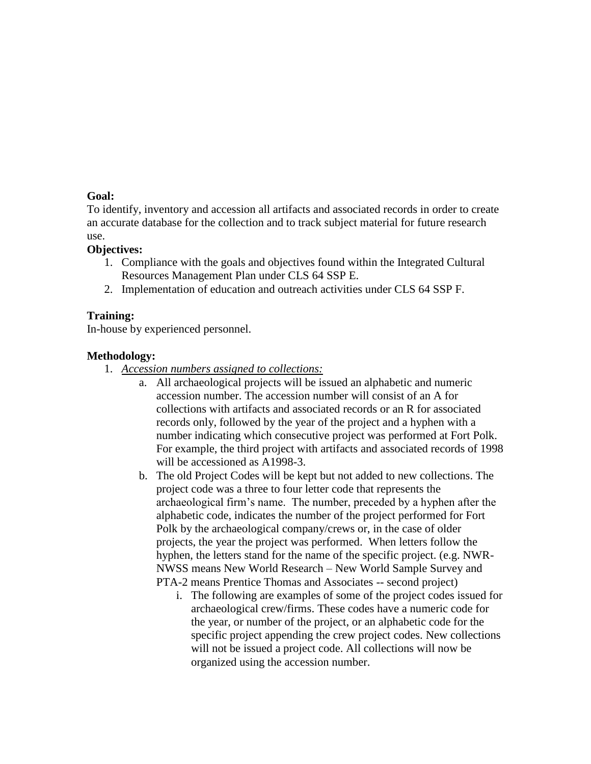## **Goal:**

To identify, inventory and accession all artifacts and associated records in order to create an accurate database for the collection and to track subject material for future research use.

## **Objectives:**

- 1. Compliance with the goals and objectives found within the Integrated Cultural Resources Management Plan under CLS 64 SSP E.
- 2. Implementation of education and outreach activities under CLS 64 SSP F.

## **Training:**

In-house by experienced personnel.

## **Methodology:**

- 1. *Accession numbers assigned to collections:*
	- a. All archaeological projects will be issued an alphabetic and numeric accession number. The accession number will consist of an A for collections with artifacts and associated records or an R for associated records only, followed by the year of the project and a hyphen with a number indicating which consecutive project was performed at Fort Polk. For example, the third project with artifacts and associated records of 1998 will be accessioned as A1998-3.
	- b. The old Project Codes will be kept but not added to new collections. The project code was a three to four letter code that represents the archaeological firm's name. The number, preceded by a hyphen after the alphabetic code, indicates the number of the project performed for Fort Polk by the archaeological company/crews or, in the case of older projects, the year the project was performed. When letters follow the hyphen, the letters stand for the name of the specific project. (e.g. NWR-NWSS means New World Research – New World Sample Survey and PTA-2 means Prentice Thomas and Associates -- second project)
		- i. The following are examples of some of the project codes issued for archaeological crew/firms. These codes have a numeric code for the year, or number of the project, or an alphabetic code for the specific project appending the crew project codes. New collections will not be issued a project code. All collections will now be organized using the accession number.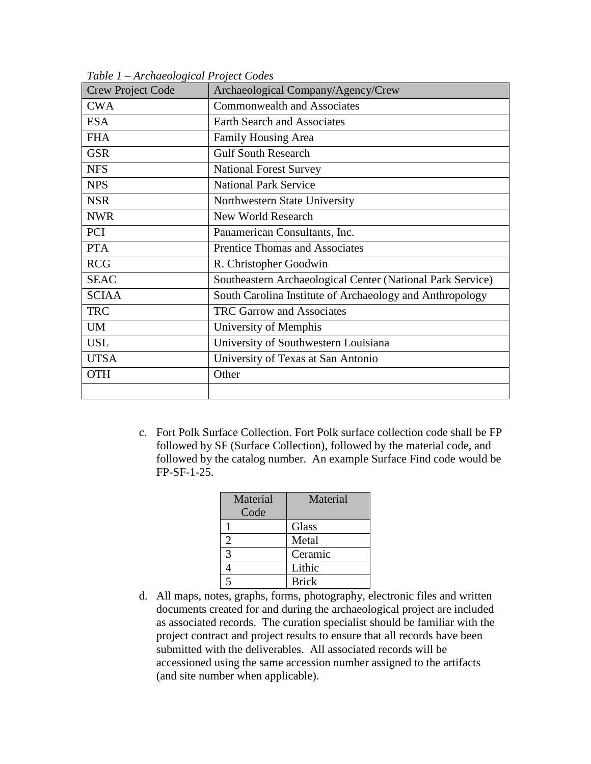| <b>Crew Project Code</b> | Archaeological Company/Agency/Crew                         |
|--------------------------|------------------------------------------------------------|
| <b>CWA</b>               | <b>Commonwealth and Associates</b>                         |
| <b>ESA</b>               | <b>Earth Search and Associates</b>                         |
| <b>FHA</b>               | Family Housing Area                                        |
| <b>GSR</b>               | <b>Gulf South Research</b>                                 |
| <b>NFS</b>               | <b>National Forest Survey</b>                              |
| <b>NPS</b>               | <b>National Park Service</b>                               |
| <b>NSR</b>               | Northwestern State University                              |
| <b>NWR</b>               | New World Research                                         |
| PCI                      | Panamerican Consultants, Inc.                              |
| <b>PTA</b>               | <b>Prentice Thomas and Associates</b>                      |
| <b>RCG</b>               | R. Christopher Goodwin                                     |
| <b>SEAC</b>              | Southeastern Archaeological Center (National Park Service) |
| <b>SCIAA</b>             | South Carolina Institute of Archaeology and Anthropology   |
| <b>TRC</b>               | <b>TRC Garrow and Associates</b>                           |
| <b>UM</b>                | University of Memphis                                      |
| <b>USL</b>               | University of Southwestern Louisiana                       |
| <b>UTSA</b>              | University of Texas at San Antonio                         |
| <b>OTH</b>               | Other                                                      |
|                          |                                                            |

*Table 1 – Archaeological Project Codes*

c. Fort Polk Surface Collection. Fort Polk surface collection code shall be FP followed by SF (Surface Collection), followed by the material code, and followed by the catalog number. An example Surface Find code would be FP-SF-1-25.

| Material<br>Code | Material     |
|------------------|--------------|
|                  | Glass        |
| 2                | Metal        |
| 3                | Ceramic      |
|                  | Lithic       |
|                  | <b>Brick</b> |

d. All maps, notes, graphs, forms, photography, electronic files and written documents created for and during the archaeological project are included as associated records. The curation specialist should be familiar with the project contract and project results to ensure that all records have been submitted with the deliverables. All associated records will be accessioned using the same accession number assigned to the artifacts (and site number when applicable).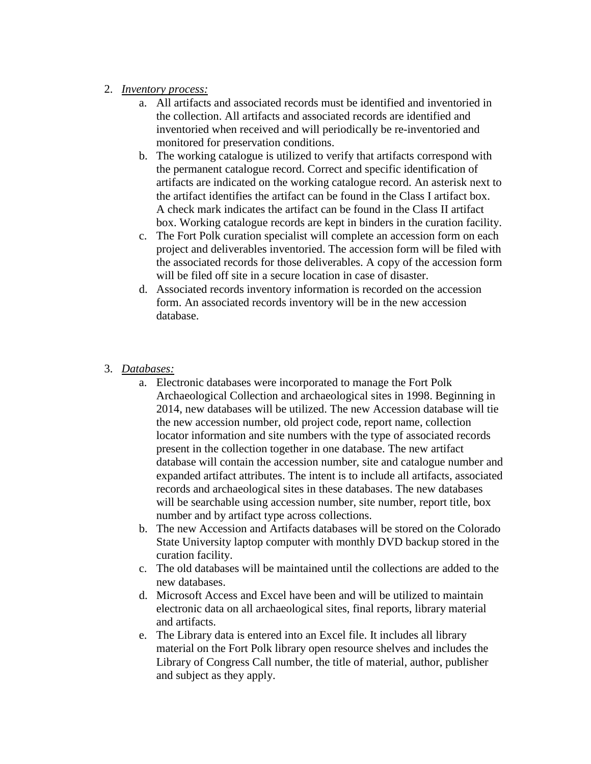- 2. *Inventory process:*
	- a. All artifacts and associated records must be identified and inventoried in the collection. All artifacts and associated records are identified and inventoried when received and will periodically be re-inventoried and monitored for preservation conditions.
	- b. The working catalogue is utilized to verify that artifacts correspond with the permanent catalogue record. Correct and specific identification of artifacts are indicated on the working catalogue record. An asterisk next to the artifact identifies the artifact can be found in the Class I artifact box. A check mark indicates the artifact can be found in the Class II artifact box. Working catalogue records are kept in binders in the curation facility.
	- c. The Fort Polk curation specialist will complete an accession form on each project and deliverables inventoried. The accession form will be filed with the associated records for those deliverables. A copy of the accession form will be filed off site in a secure location in case of disaster.
	- d. Associated records inventory information is recorded on the accession form. An associated records inventory will be in the new accession database.
- 3. *Databases:*
	- a. Electronic databases were incorporated to manage the Fort Polk Archaeological Collection and archaeological sites in 1998. Beginning in 2014, new databases will be utilized. The new Accession database will tie the new accession number, old project code, report name, collection locator information and site numbers with the type of associated records present in the collection together in one database. The new artifact database will contain the accession number, site and catalogue number and expanded artifact attributes. The intent is to include all artifacts, associated records and archaeological sites in these databases. The new databases will be searchable using accession number, site number, report title, box number and by artifact type across collections.
	- b. The new Accession and Artifacts databases will be stored on the Colorado State University laptop computer with monthly DVD backup stored in the curation facility.
	- c. The old databases will be maintained until the collections are added to the new databases.
	- d. Microsoft Access and Excel have been and will be utilized to maintain electronic data on all archaeological sites, final reports, library material and artifacts.
	- e. The Library data is entered into an Excel file. It includes all library material on the Fort Polk library open resource shelves and includes the Library of Congress Call number, the title of material, author, publisher and subject as they apply.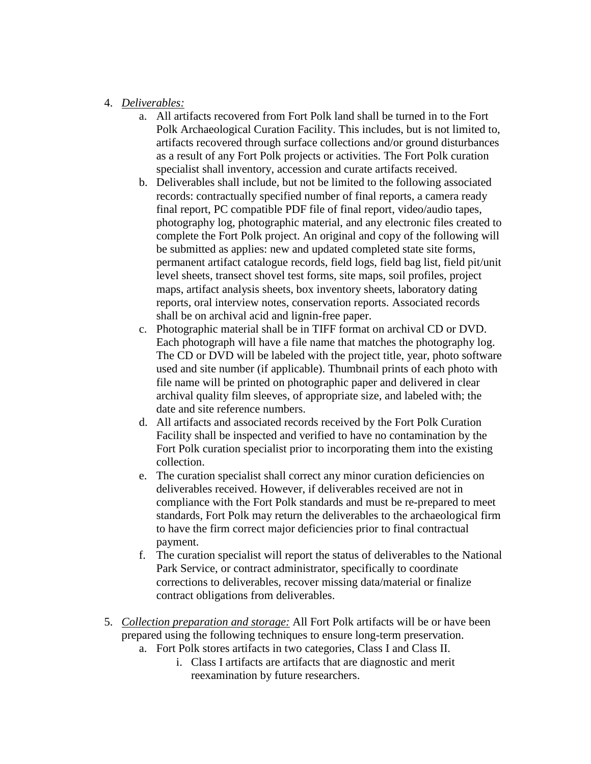## 4. *Deliverables:*

- a. All artifacts recovered from Fort Polk land shall be turned in to the Fort Polk Archaeological Curation Facility. This includes, but is not limited to, artifacts recovered through surface collections and/or ground disturbances as a result of any Fort Polk projects or activities. The Fort Polk curation specialist shall inventory, accession and curate artifacts received.
- b. Deliverables shall include, but not be limited to the following associated records: contractually specified number of final reports, a camera ready final report, PC compatible PDF file of final report, video/audio tapes, photography log, photographic material, and any electronic files created to complete the Fort Polk project. An original and copy of the following will be submitted as applies: new and updated completed state site forms, permanent artifact catalogue records, field logs, field bag list, field pit/unit level sheets, transect shovel test forms, site maps, soil profiles, project maps, artifact analysis sheets, box inventory sheets, laboratory dating reports, oral interview notes, conservation reports. Associated records shall be on archival acid and lignin-free paper.
- c. Photographic material shall be in TIFF format on archival CD or DVD. Each photograph will have a file name that matches the photography log. The CD or DVD will be labeled with the project title, year, photo software used and site number (if applicable). Thumbnail prints of each photo with file name will be printed on photographic paper and delivered in clear archival quality film sleeves, of appropriate size, and labeled with; the date and site reference numbers.
- d. All artifacts and associated records received by the Fort Polk Curation Facility shall be inspected and verified to have no contamination by the Fort Polk curation specialist prior to incorporating them into the existing collection.
- e. The curation specialist shall correct any minor curation deficiencies on deliverables received. However, if deliverables received are not in compliance with the Fort Polk standards and must be re-prepared to meet standards, Fort Polk may return the deliverables to the archaeological firm to have the firm correct major deficiencies prior to final contractual payment.
- f. The curation specialist will report the status of deliverables to the National Park Service, or contract administrator, specifically to coordinate corrections to deliverables, recover missing data/material or finalize contract obligations from deliverables.
- 5. *Collection preparation and storage:* All Fort Polk artifacts will be or have been prepared using the following techniques to ensure long-term preservation.
	- a. Fort Polk stores artifacts in two categories, Class I and Class II.
		- i. Class I artifacts are artifacts that are diagnostic and merit reexamination by future researchers.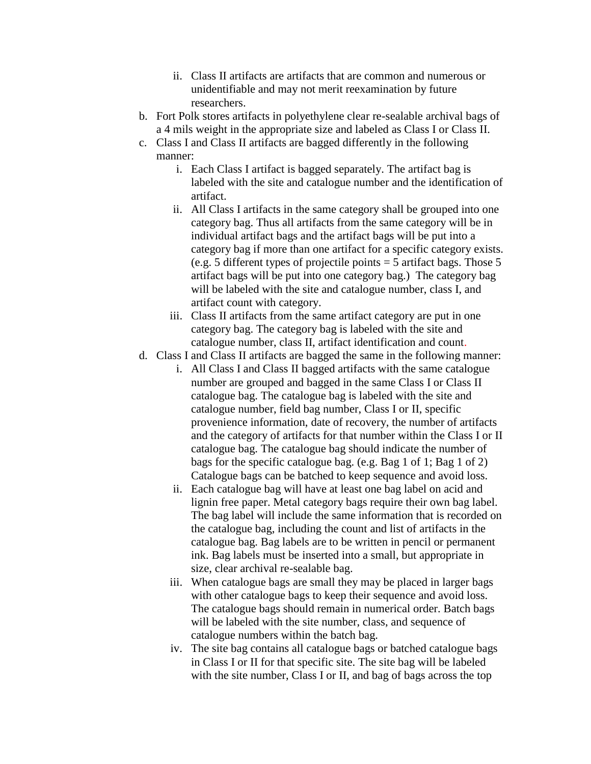- ii. Class II artifacts are artifacts that are common and numerous or unidentifiable and may not merit reexamination by future researchers.
- b. Fort Polk stores artifacts in polyethylene clear re-sealable archival bags of a 4 mils weight in the appropriate size and labeled as Class I or Class II.
- c. Class I and Class II artifacts are bagged differently in the following manner:
	- i. Each Class I artifact is bagged separately. The artifact bag is labeled with the site and catalogue number and the identification of artifact.
	- ii. All Class I artifacts in the same category shall be grouped into one category bag. Thus all artifacts from the same category will be in individual artifact bags and the artifact bags will be put into a category bag if more than one artifact for a specific category exists. (e.g. 5 different types of projectile points = 5 artifact bags. Those 5 artifact bags will be put into one category bag.) The category bag will be labeled with the site and catalogue number, class I, and artifact count with category.
	- iii. Class II artifacts from the same artifact category are put in one category bag. The category bag is labeled with the site and catalogue number, class II, artifact identification and count.
- d. Class I and Class II artifacts are bagged the same in the following manner:
	- i. All Class I and Class II bagged artifacts with the same catalogue number are grouped and bagged in the same Class I or Class II catalogue bag. The catalogue bag is labeled with the site and catalogue number, field bag number, Class I or II, specific provenience information, date of recovery, the number of artifacts and the category of artifacts for that number within the Class I or II catalogue bag. The catalogue bag should indicate the number of bags for the specific catalogue bag. (e.g. Bag 1 of 1; Bag 1 of 2) Catalogue bags can be batched to keep sequence and avoid loss.
	- ii. Each catalogue bag will have at least one bag label on acid and lignin free paper. Metal category bags require their own bag label. The bag label will include the same information that is recorded on the catalogue bag, including the count and list of artifacts in the catalogue bag. Bag labels are to be written in pencil or permanent ink. Bag labels must be inserted into a small, but appropriate in size, clear archival re-sealable bag.
	- iii. When catalogue bags are small they may be placed in larger bags with other catalogue bags to keep their sequence and avoid loss. The catalogue bags should remain in numerical order. Batch bags will be labeled with the site number, class, and sequence of catalogue numbers within the batch bag.
	- iv. The site bag contains all catalogue bags or batched catalogue bags in Class I or II for that specific site. The site bag will be labeled with the site number, Class I or II, and bag of bags across the top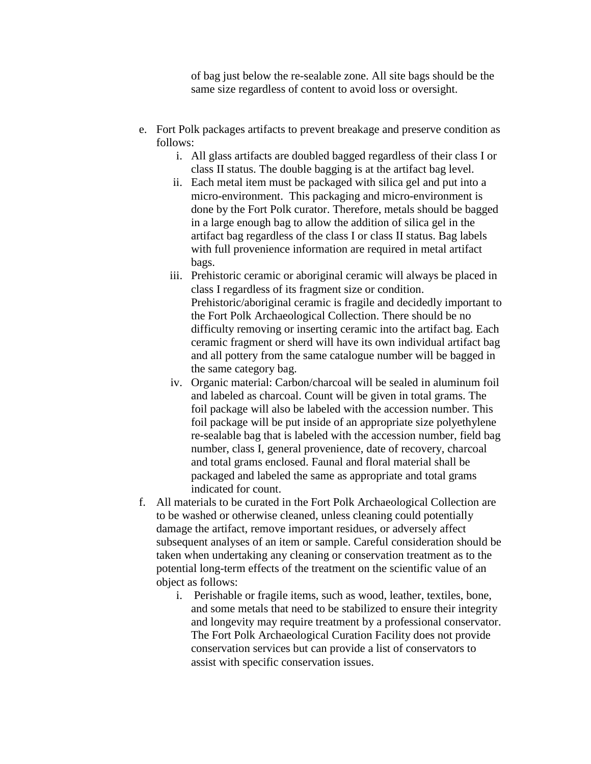of bag just below the re-sealable zone. All site bags should be the same size regardless of content to avoid loss or oversight.

- e. Fort Polk packages artifacts to prevent breakage and preserve condition as follows:
	- i. All glass artifacts are doubled bagged regardless of their class I or class II status. The double bagging is at the artifact bag level.
	- ii. Each metal item must be packaged with silica gel and put into a micro-environment. This packaging and micro-environment is done by the Fort Polk curator. Therefore, metals should be bagged in a large enough bag to allow the addition of silica gel in the artifact bag regardless of the class I or class II status. Bag labels with full provenience information are required in metal artifact bags.
	- iii. Prehistoric ceramic or aboriginal ceramic will always be placed in class I regardless of its fragment size or condition. Prehistoric/aboriginal ceramic is fragile and decidedly important to the Fort Polk Archaeological Collection. There should be no difficulty removing or inserting ceramic into the artifact bag. Each ceramic fragment or sherd will have its own individual artifact bag and all pottery from the same catalogue number will be bagged in the same category bag.
	- iv. Organic material: Carbon/charcoal will be sealed in aluminum foil and labeled as charcoal. Count will be given in total grams. The foil package will also be labeled with the accession number. This foil package will be put inside of an appropriate size polyethylene re-sealable bag that is labeled with the accession number, field bag number, class I, general provenience, date of recovery, charcoal and total grams enclosed. Faunal and floral material shall be packaged and labeled the same as appropriate and total grams indicated for count.
- f. All materials to be curated in the Fort Polk Archaeological Collection are to be washed or otherwise cleaned, unless cleaning could potentially damage the artifact, remove important residues, or adversely affect subsequent analyses of an item or sample. Careful consideration should be taken when undertaking any cleaning or conservation treatment as to the potential long-term effects of the treatment on the scientific value of an object as follows:
	- i. Perishable or fragile items, such as wood, leather, textiles, bone, and some metals that need to be stabilized to ensure their integrity and longevity may require treatment by a professional conservator. The Fort Polk Archaeological Curation Facility does not provide conservation services but can provide a list of conservators to assist with specific conservation issues.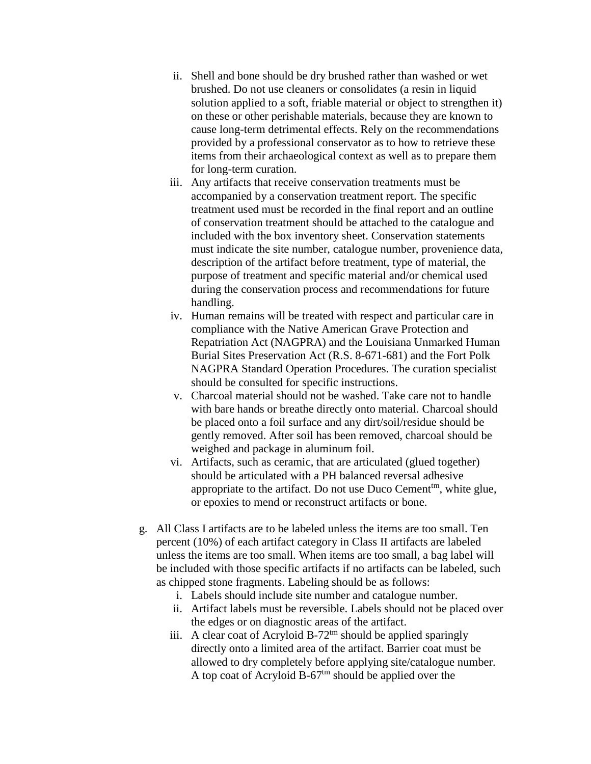- ii. Shell and bone should be dry brushed rather than washed or wet brushed. Do not use cleaners or consolidates (a resin in liquid solution applied to a soft, friable material or object to strengthen it) on these or other perishable materials, because they are known to cause long-term detrimental effects. Rely on the recommendations provided by a professional conservator as to how to retrieve these items from their archaeological context as well as to prepare them for long-term curation.
- iii. Any artifacts that receive conservation treatments must be accompanied by a conservation treatment report. The specific treatment used must be recorded in the final report and an outline of conservation treatment should be attached to the catalogue and included with the box inventory sheet. Conservation statements must indicate the site number, catalogue number, provenience data, description of the artifact before treatment, type of material, the purpose of treatment and specific material and/or chemical used during the conservation process and recommendations for future handling.
- iv. Human remains will be treated with respect and particular care in compliance with the Native American Grave Protection and Repatriation Act (NAGPRA) and the Louisiana Unmarked Human Burial Sites Preservation Act (R.S. 8-671-681) and the Fort Polk NAGPRA Standard Operation Procedures. The curation specialist should be consulted for specific instructions.
- v. Charcoal material should not be washed. Take care not to handle with bare hands or breathe directly onto material. Charcoal should be placed onto a foil surface and any dirt/soil/residue should be gently removed. After soil has been removed, charcoal should be weighed and package in aluminum foil.
- vi. Artifacts, such as ceramic, that are articulated (glued together) should be articulated with a PH balanced reversal adhesive appropriate to the artifact. Do not use Duco Cement<sup>tm</sup>, white glue, or epoxies to mend or reconstruct artifacts or bone.
- g. All Class I artifacts are to be labeled unless the items are too small. Ten percent (10%) of each artifact category in Class II artifacts are labeled unless the items are too small. When items are too small, a bag label will be included with those specific artifacts if no artifacts can be labeled, such as chipped stone fragments. Labeling should be as follows:
	- i. Labels should include site number and catalogue number.
	- ii. Artifact labels must be reversible. Labels should not be placed over the edges or on diagnostic areas of the artifact.
	- iii. A clear coat of Acryloid B-72 $<sup>tm</sup>$  should be applied sparingly</sup> directly onto a limited area of the artifact. Barrier coat must be allowed to dry completely before applying site/catalogue number. A top coat of Acryloid  $B-67<sup>tm</sup>$  should be applied over the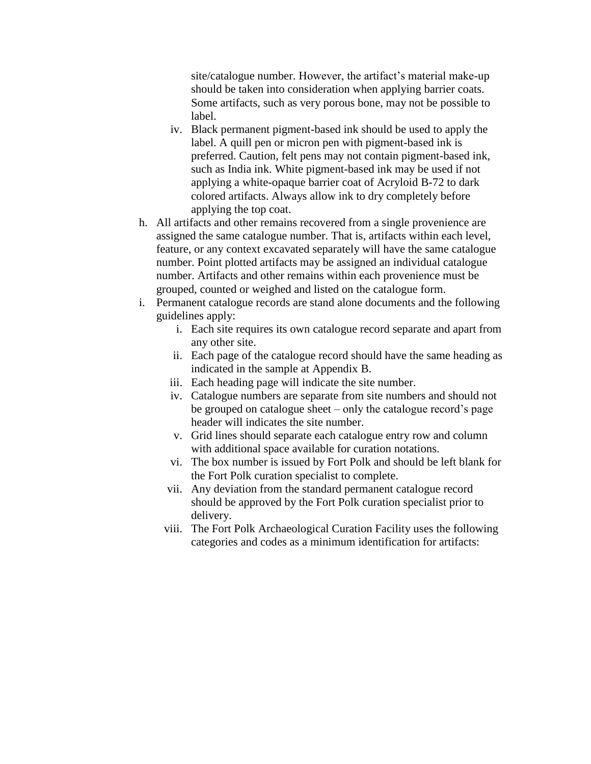site/catalogue number. However, the artifact's material make-up should be taken into consideration when applying barrier coats. Some artifacts, such as very porous bone, may not be possible to label.

- iv. Black permanent pigment-based ink should be used to apply the label. A quill pen or micron pen with pigment-based ink is preferred. Caution, felt pens may not contain pigment-based ink, such as India ink. White pigment-based ink may be used if not applying a white-opaque barrier coat of Acryloid B-72 to dark colored artifacts. Always allow ink to dry completely before applying the top coat.
- h. All artifacts and other remains recovered from a single provenience are assigned the same catalogue number. That is, artifacts within each level, feature, or any context excavated separately will have the same catalogue number. Point plotted artifacts may be assigned an individual catalogue number. Artifacts and other remains within each provenience must be grouped, counted or weighed and listed on the catalogue form.
- i. Permanent catalogue records are stand alone documents and the following guidelines apply:
	- i. Each site requires its own catalogue record separate and apart from any other site.
	- ii. Each page of the catalogue record should have the same heading as indicated in the sample at Appendix B.
	- iii. Each heading page will indicate the site number.
	- iv. Catalogue numbers are separate from site numbers and should not be grouped on catalogue sheet – only the catalogue record's page header will indicates the site number.
	- v. Grid lines should separate each catalogue entry row and column with additional space available for curation notations.
	- vi. The box number is issued by Fort Polk and should be left blank for the Fort Polk curation specialist to complete.
	- vii. Any deviation from the standard permanent catalogue record should be approved by the Fort Polk curation specialist prior to delivery.
	- viii. The Fort Polk Archaeological Curation Facility uses the following categories and codes as a minimum identification for artifacts: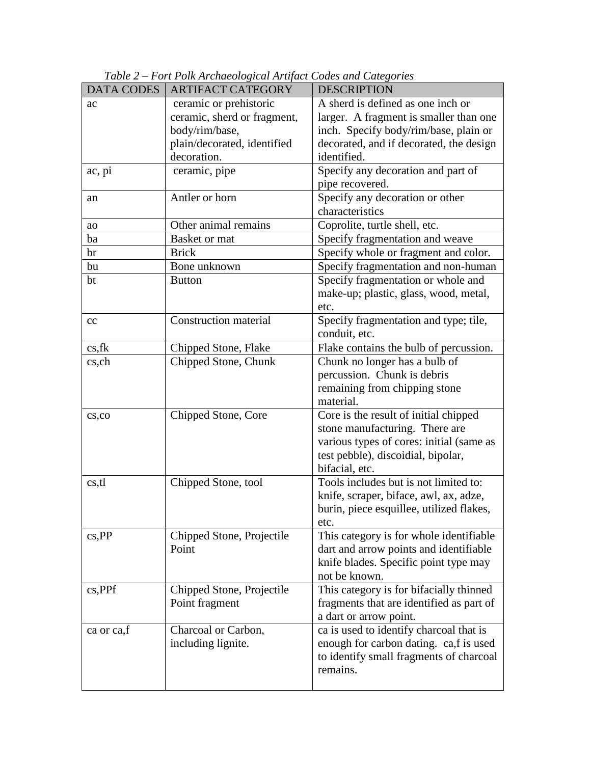| <b>DATA CODES</b> | <b>ARTIFACT CATEGORY</b>     | <b>DESCRIPTION</b>                       |
|-------------------|------------------------------|------------------------------------------|
| ac                | ceramic or prehistoric       | A sherd is defined as one inch or        |
|                   | ceramic, sherd or fragment,  | larger. A fragment is smaller than one   |
|                   | body/rim/base,               | inch. Specify body/rim/base, plain or    |
|                   | plain/decorated, identified  | decorated, and if decorated, the design  |
|                   | decoration.                  | identified.                              |
| ac, pi            | ceramic, pipe                | Specify any decoration and part of       |
|                   |                              | pipe recovered.                          |
| an                | Antler or horn               | Specify any decoration or other          |
|                   |                              | characteristics                          |
| ao                | Other animal remains         | Coprolite, turtle shell, etc.            |
| ba                | Basket or mat                | Specify fragmentation and weave          |
| br                | <b>Brick</b>                 | Specify whole or fragment and color.     |
| bu                | Bone unknown                 | Specify fragmentation and non-human      |
| bt                | <b>Button</b>                | Specify fragmentation or whole and       |
|                   |                              | make-up; plastic, glass, wood, metal,    |
|                   |                              | etc.                                     |
| cc                | <b>Construction material</b> | Specify fragmentation and type; tile,    |
|                   |                              | conduit, etc.                            |
| $cs,$ fk          | Chipped Stone, Flake         | Flake contains the bulb of percussion.   |
| $cs,$ ch          | Chipped Stone, Chunk         | Chunk no longer has a bulb of            |
|                   |                              | percussion. Chunk is debris              |
|                   |                              | remaining from chipping stone            |
|                   |                              | material.                                |
| cs, co            | Chipped Stone, Core          | Core is the result of initial chipped    |
|                   |                              | stone manufacturing. There are           |
|                   |                              | various types of cores: initial (same as |
|                   |                              | test pebble), discoidial, bipolar,       |
|                   |                              | bifacial, etc.                           |
| cs,tl             | Chipped Stone, tool          | Tools includes but is not limited to:    |
|                   |                              | knife, scraper, biface, awl, ax, adze,   |
|                   |                              | burin, piece esquillee, utilized flakes, |
|                   |                              | etc.                                     |
| $cs,$ PP          | Chipped Stone, Projectile    | This category is for whole identifiable  |
|                   | Point                        | dart and arrow points and identifiable   |
|                   |                              | knife blades. Specific point type may    |
|                   |                              | not be known.                            |
| cs, PPf           | Chipped Stone, Projectile    | This category is for bifacially thinned  |
|                   | Point fragment               | fragments that are identified as part of |
|                   |                              | a dart or arrow point.                   |
| ca or ca,f        | Charcoal or Carbon,          | ca is used to identify charcoal that is  |
|                   | including lignite.           | enough for carbon dating. ca,f is used   |
|                   |                              | to identify small fragments of charcoal  |
|                   |                              | remains.                                 |
|                   |                              |                                          |

*Table 2 – Fort Polk Archaeological Artifact Codes and Categories*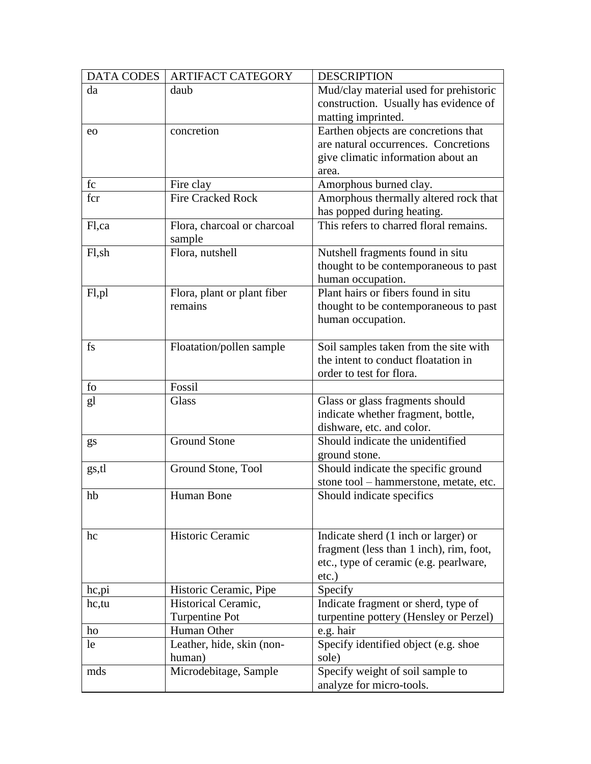| <b>DATA CODES</b> | <b>ARTIFACT CATEGORY</b>    | <b>DESCRIPTION</b>                      |
|-------------------|-----------------------------|-----------------------------------------|
| da                | daub                        | Mud/clay material used for prehistoric  |
|                   |                             | construction. Usually has evidence of   |
|                   |                             | matting imprinted.                      |
| eo                | concretion                  | Earthen objects are concretions that    |
|                   |                             | are natural occurrences. Concretions    |
|                   |                             | give climatic information about an      |
|                   |                             | area.                                   |
| fc                | Fire clay                   | Amorphous burned clay.                  |
| fcr               | <b>Fire Cracked Rock</b>    | Amorphous thermally altered rock that   |
|                   |                             | has popped during heating.              |
| Fl,ca             | Flora, charcoal or charcoal | This refers to charred floral remains.  |
|                   | sample                      |                                         |
| Fl,sh             | Flora, nutshell             | Nutshell fragments found in situ        |
|                   |                             | thought to be contemporaneous to past   |
|                   |                             | human occupation.                       |
| $FI$ ,pl          | Flora, plant or plant fiber | Plant hairs or fibers found in situ     |
|                   | remains                     | thought to be contemporaneous to past   |
|                   |                             | human occupation.                       |
|                   |                             |                                         |
| fs                | Floatation/pollen sample    | Soil samples taken from the site with   |
|                   |                             | the intent to conduct floatation in     |
|                   |                             | order to test for flora.                |
| fo                | Fossil                      |                                         |
| gl                | Glass                       | Glass or glass fragments should         |
|                   |                             | indicate whether fragment, bottle,      |
|                   |                             | dishware, etc. and color.               |
| gs                | <b>Ground Stone</b>         | Should indicate the unidentified        |
|                   |                             | ground stone.                           |
| gs,tl             | Ground Stone, Tool          | Should indicate the specific ground     |
|                   |                             | stone tool - hammerstone, metate, etc.  |
| hb                | Human Bone                  | Should indicate specifics               |
|                   |                             |                                         |
|                   |                             |                                         |
| hc                | Historic Ceramic            | Indicate sherd (1 inch or larger) or    |
|                   |                             | fragment (less than 1 inch), rim, foot, |
|                   |                             | etc., type of ceramic (e.g. pearlware,  |
|                   |                             |                                         |
| hc,pi             |                             | $etc.$ )                                |
|                   | Historic Ceramic, Pipe      | Specify                                 |
| hc,tu             | Historical Ceramic,         | Indicate fragment or sherd, type of     |
|                   | <b>Turpentine Pot</b>       | turpentine pottery (Hensley or Perzel)  |
| ho                | Human Other                 | e.g. hair                               |
| le                | Leather, hide, skin (non-   | Specify identified object (e.g. shoe    |
|                   | human)                      | sole)                                   |
| mds               | Microdebitage, Sample       | Specify weight of soil sample to        |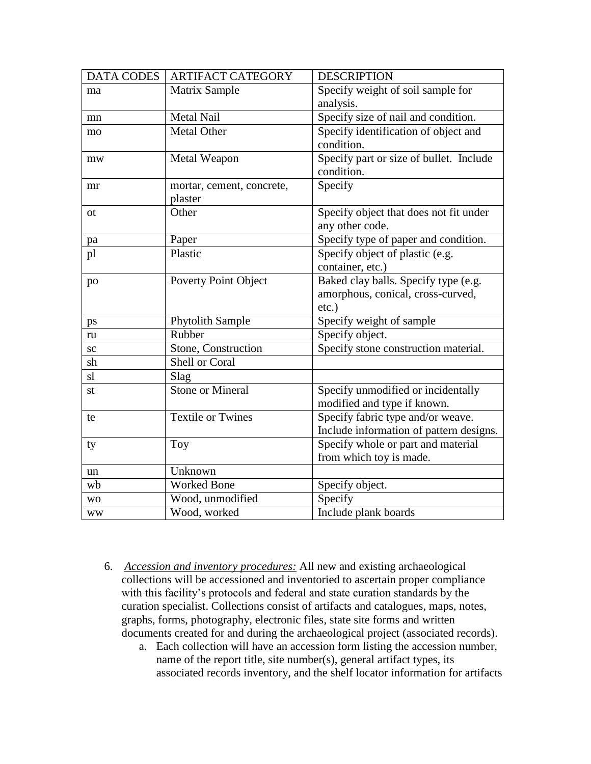| <b>DATA CODES</b> | <b>ARTIFACT CATEGORY</b>    | <b>DESCRIPTION</b>                      |
|-------------------|-----------------------------|-----------------------------------------|
| ma                | Matrix Sample               | Specify weight of soil sample for       |
|                   |                             | analysis.                               |
| mn                | Metal Nail                  | Specify size of nail and condition.     |
| mo                | <b>Metal Other</b>          | Specify identification of object and    |
|                   |                             | condition.                              |
| mw                | Metal Weapon                | Specify part or size of bullet. Include |
|                   |                             | condition.                              |
| mr                | mortar, cement, concrete,   | Specify                                 |
|                   | plaster                     |                                         |
| <b>ot</b>         | Other                       | Specify object that does not fit under  |
|                   |                             | any other code.                         |
| pa                | Paper                       | Specify type of paper and condition.    |
| pl                | Plastic                     | Specify object of plastic (e.g.         |
|                   |                             | container, etc.)                        |
| po                | <b>Poverty Point Object</b> | Baked clay balls. Specify type (e.g.    |
|                   |                             | amorphous, conical, cross-curved,       |
|                   |                             | $etc.$ )                                |
| ps                | Phytolith Sample            | Specify weight of sample                |
| ru                | Rubber                      | Specify object.                         |
| <b>SC</b>         | Stone, Construction         | Specify stone construction material.    |
| sh                | Shell or Coral              |                                         |
| sl                | Slag                        |                                         |
| st                | <b>Stone or Mineral</b>     | Specify unmodified or incidentally      |
|                   |                             | modified and type if known.             |
| te                | <b>Textile or Twines</b>    | Specify fabric type and/or weave.       |
|                   |                             | Include information of pattern designs. |
| ty                | Toy                         | Specify whole or part and material      |
|                   |                             | from which toy is made.                 |
| un                | Unknown                     |                                         |
| wb                | <b>Worked Bone</b>          | Specify object.                         |
| <b>WO</b>         | Wood, unmodified            | Specify                                 |
| <b>WW</b>         | Wood, worked                | Include plank boards                    |

- 6. *Accession and inventory procedures:* All new and existing archaeological collections will be accessioned and inventoried to ascertain proper compliance with this facility's protocols and federal and state curation standards by the curation specialist. Collections consist of artifacts and catalogues, maps, notes, graphs, forms, photography, electronic files, state site forms and written documents created for and during the archaeological project (associated records).
	- a. Each collection will have an accession form listing the accession number, name of the report title, site number(s), general artifact types, its associated records inventory, and the shelf locator information for artifacts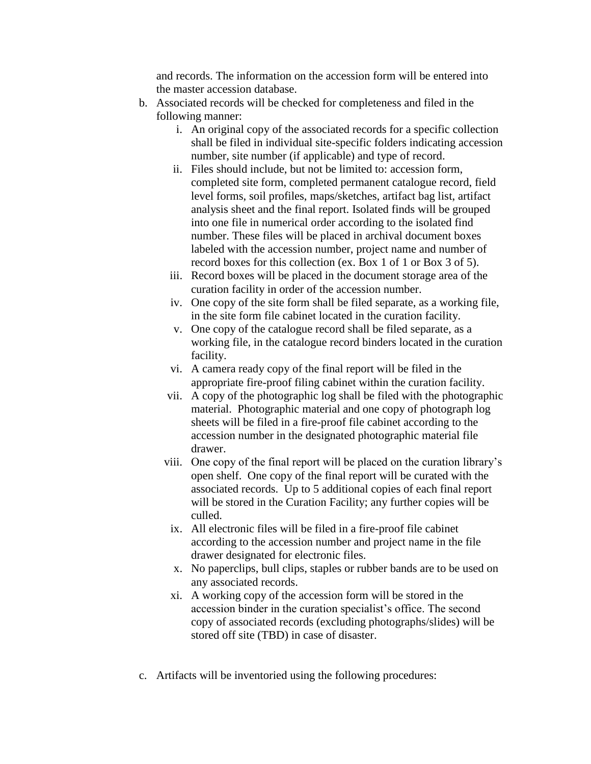and records. The information on the accession form will be entered into the master accession database.

- b. Associated records will be checked for completeness and filed in the following manner:
	- i. An original copy of the associated records for a specific collection shall be filed in individual site-specific folders indicating accession number, site number (if applicable) and type of record.
	- ii. Files should include, but not be limited to: accession form, completed site form, completed permanent catalogue record, field level forms, soil profiles, maps/sketches, artifact bag list, artifact analysis sheet and the final report. Isolated finds will be grouped into one file in numerical order according to the isolated find number. These files will be placed in archival document boxes labeled with the accession number, project name and number of record boxes for this collection (ex. Box 1 of 1 or Box 3 of 5).
	- iii. Record boxes will be placed in the document storage area of the curation facility in order of the accession number.
	- iv. One copy of the site form shall be filed separate, as a working file, in the site form file cabinet located in the curation facility.
	- v. One copy of the catalogue record shall be filed separate, as a working file, in the catalogue record binders located in the curation facility.
	- vi. A camera ready copy of the final report will be filed in the appropriate fire-proof filing cabinet within the curation facility.
	- vii. A copy of the photographic log shall be filed with the photographic material. Photographic material and one copy of photograph log sheets will be filed in a fire-proof file cabinet according to the accession number in the designated photographic material file drawer.
	- viii. One copy of the final report will be placed on the curation library's open shelf. One copy of the final report will be curated with the associated records. Up to 5 additional copies of each final report will be stored in the Curation Facility; any further copies will be culled.
	- ix. All electronic files will be filed in a fire-proof file cabinet according to the accession number and project name in the file drawer designated for electronic files.
	- x. No paperclips, bull clips, staples or rubber bands are to be used on any associated records.
	- xi. A working copy of the accession form will be stored in the accession binder in the curation specialist's office. The second copy of associated records (excluding photographs/slides) will be stored off site (TBD) in case of disaster.
- c. Artifacts will be inventoried using the following procedures: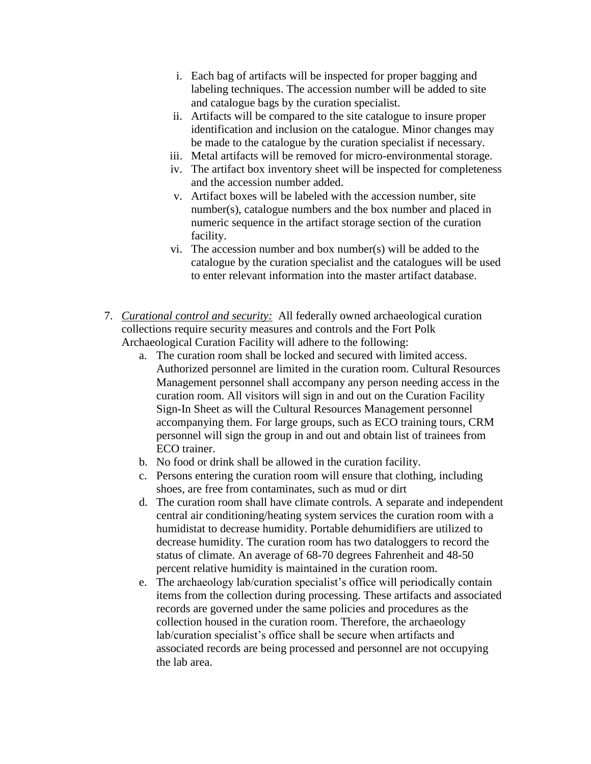- i. Each bag of artifacts will be inspected for proper bagging and labeling techniques. The accession number will be added to site and catalogue bags by the curation specialist.
- ii. Artifacts will be compared to the site catalogue to insure proper identification and inclusion on the catalogue. Minor changes may be made to the catalogue by the curation specialist if necessary.
- iii. Metal artifacts will be removed for micro-environmental storage.
- iv. The artifact box inventory sheet will be inspected for completeness and the accession number added.
- v. Artifact boxes will be labeled with the accession number, site number(s), catalogue numbers and the box number and placed in numeric sequence in the artifact storage section of the curation facility.
- vi. The accession number and box number(s) will be added to the catalogue by the curation specialist and the catalogues will be used to enter relevant information into the master artifact database.
- 7. *Curational control and security:* All federally owned archaeological curation collections require security measures and controls and the Fort Polk Archaeological Curation Facility will adhere to the following:
	- a. The curation room shall be locked and secured with limited access. Authorized personnel are limited in the curation room. Cultural Resources Management personnel shall accompany any person needing access in the curation room. All visitors will sign in and out on the Curation Facility Sign-In Sheet as will the Cultural Resources Management personnel accompanying them. For large groups, such as ECO training tours, CRM personnel will sign the group in and out and obtain list of trainees from ECO trainer.
	- b. No food or drink shall be allowed in the curation facility.
	- c. Persons entering the curation room will ensure that clothing, including shoes, are free from contaminates, such as mud or dirt
	- d. The curation room shall have climate controls. A separate and independent central air conditioning/heating system services the curation room with a humidistat to decrease humidity. Portable dehumidifiers are utilized to decrease humidity. The curation room has two dataloggers to record the status of climate. An average of 68-70 degrees Fahrenheit and 48-50 percent relative humidity is maintained in the curation room.
	- e. The archaeology lab/curation specialist's office will periodically contain items from the collection during processing. These artifacts and associated records are governed under the same policies and procedures as the collection housed in the curation room. Therefore, the archaeology lab/curation specialist's office shall be secure when artifacts and associated records are being processed and personnel are not occupying the lab area.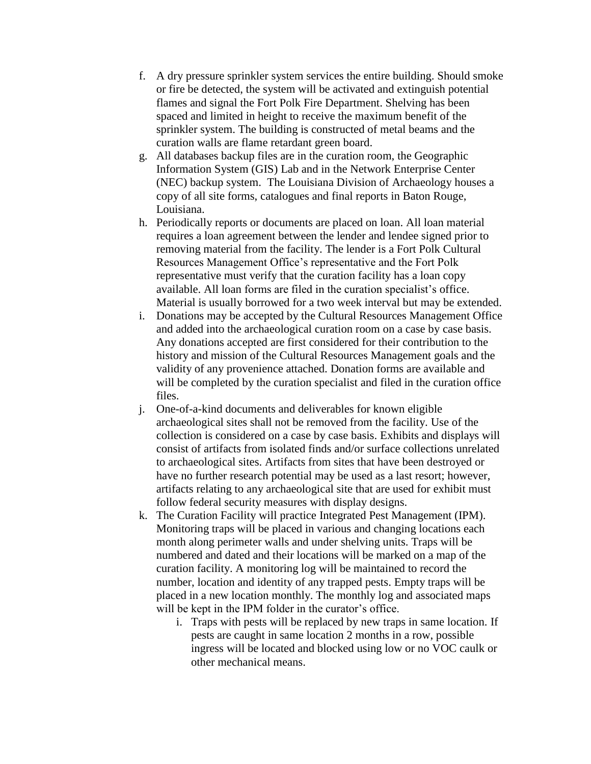- f. A dry pressure sprinkler system services the entire building. Should smoke or fire be detected, the system will be activated and extinguish potential flames and signal the Fort Polk Fire Department. Shelving has been spaced and limited in height to receive the maximum benefit of the sprinkler system. The building is constructed of metal beams and the curation walls are flame retardant green board.
- g. All databases backup files are in the curation room, the Geographic Information System (GIS) Lab and in the Network Enterprise Center (NEC) backup system. The Louisiana Division of Archaeology houses a copy of all site forms, catalogues and final reports in Baton Rouge, Louisiana.
- h. Periodically reports or documents are placed on loan. All loan material requires a loan agreement between the lender and lendee signed prior to removing material from the facility. The lender is a Fort Polk Cultural Resources Management Office's representative and the Fort Polk representative must verify that the curation facility has a loan copy available. All loan forms are filed in the curation specialist's office. Material is usually borrowed for a two week interval but may be extended.
- i. Donations may be accepted by the Cultural Resources Management Office and added into the archaeological curation room on a case by case basis. Any donations accepted are first considered for their contribution to the history and mission of the Cultural Resources Management goals and the validity of any provenience attached. Donation forms are available and will be completed by the curation specialist and filed in the curation office files.
- j. One-of-a-kind documents and deliverables for known eligible archaeological sites shall not be removed from the facility. Use of the collection is considered on a case by case basis. Exhibits and displays will consist of artifacts from isolated finds and/or surface collections unrelated to archaeological sites. Artifacts from sites that have been destroyed or have no further research potential may be used as a last resort; however, artifacts relating to any archaeological site that are used for exhibit must follow federal security measures with display designs.
- k. The Curation Facility will practice Integrated Pest Management (IPM). Monitoring traps will be placed in various and changing locations each month along perimeter walls and under shelving units. Traps will be numbered and dated and their locations will be marked on a map of the curation facility. A monitoring log will be maintained to record the number, location and identity of any trapped pests. Empty traps will be placed in a new location monthly. The monthly log and associated maps will be kept in the IPM folder in the curator's office.
	- i. Traps with pests will be replaced by new traps in same location. If pests are caught in same location 2 months in a row, possible ingress will be located and blocked using low or no VOC caulk or other mechanical means.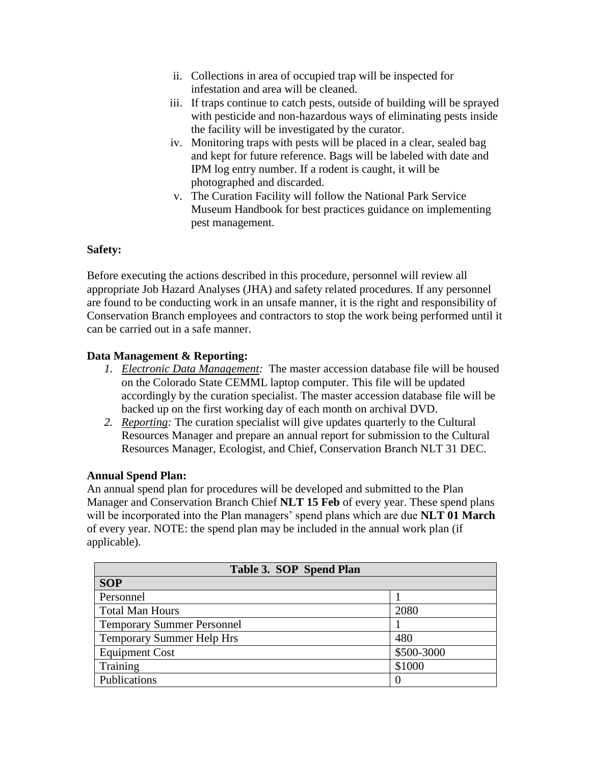- ii. Collections in area of occupied trap will be inspected for infestation and area will be cleaned.
- iii. If traps continue to catch pests, outside of building will be sprayed with pesticide and non-hazardous ways of eliminating pests inside the facility will be investigated by the curator.
- iv. Monitoring traps with pests will be placed in a clear, sealed bag and kept for future reference. Bags will be labeled with date and IPM log entry number. If a rodent is caught, it will be photographed and discarded.
- v. The Curation Facility will follow the National Park Service Museum Handbook for best practices guidance on implementing pest management.

# **Safety:**

Before executing the actions described in this procedure, personnel will review all appropriate Job Hazard Analyses (JHA) and safety related procedures. If any personnel are found to be conducting work in an unsafe manner, it is the right and responsibility of Conservation Branch employees and contractors to stop the work being performed until it can be carried out in a safe manner.

# **Data Management & Reporting:**

- *1. Electronic Data Management:* The master accession database file will be housed on the Colorado State CEMML laptop computer. This file will be updated accordingly by the curation specialist. The master accession database file will be backed up on the first working day of each month on archival DVD.
- *2. Reporting:* The curation specialist will give updates quarterly to the Cultural Resources Manager and prepare an annual report for submission to the Cultural Resources Manager, Ecologist, and Chief, Conservation Branch NLT 31 DEC.

## **Annual Spend Plan:**

An annual spend plan for procedures will be developed and submitted to the Plan Manager and Conservation Branch Chief **NLT 15 Feb** of every year. These spend plans will be incorporated into the Plan managers' spend plans which are due **NLT 01 March** of every year. NOTE: the spend plan may be included in the annual work plan (if applicable).

| Table 3. SOP Spend Plan           |            |
|-----------------------------------|------------|
| <b>SOP</b>                        |            |
| Personnel                         |            |
| <b>Total Man Hours</b>            | 2080       |
| <b>Temporary Summer Personnel</b> |            |
| <b>Temporary Summer Help Hrs</b>  | 480        |
| <b>Equipment Cost</b>             | \$500-3000 |
| Training                          | \$1000     |
| Publications                      |            |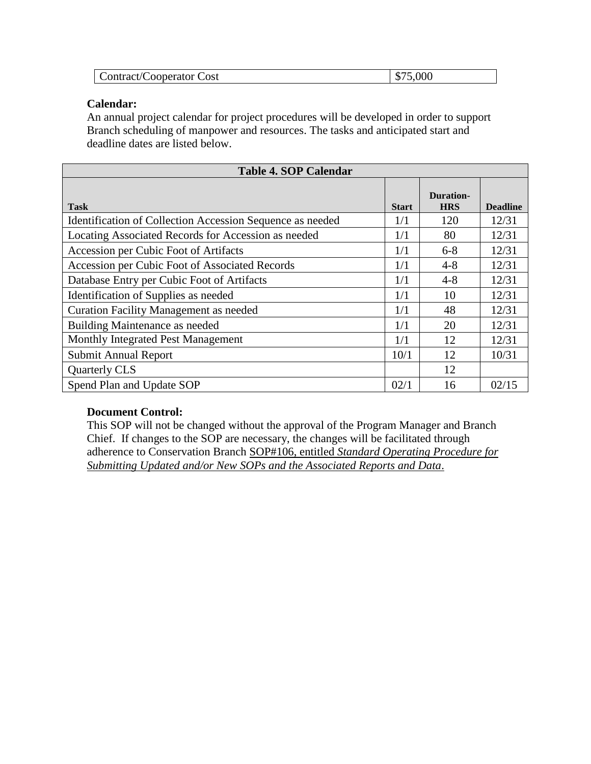| Contract/Cooperator Cost<br>.000 |
|----------------------------------|
|----------------------------------|

## **Calendar:**

An annual project calendar for project procedures will be developed in order to support Branch scheduling of manpower and resources. The tasks and anticipated start and deadline dates are listed below.

| <b>Table 4. SOP Calendar</b>                              |              |                                |                 |
|-----------------------------------------------------------|--------------|--------------------------------|-----------------|
| <b>Task</b>                                               | <b>Start</b> | <b>Duration-</b><br><b>HRS</b> | <b>Deadline</b> |
| Identification of Collection Accession Sequence as needed | 1/1          | 120                            | 12/31           |
| Locating Associated Records for Accession as needed       | 1/1          | 80                             | 12/31           |
| Accession per Cubic Foot of Artifacts                     | 1/1          | $6 - 8$                        | 12/31           |
| Accession per Cubic Foot of Associated Records            | 1/1          | $4 - 8$                        | 12/31           |
| Database Entry per Cubic Foot of Artifacts                | 1/1          | $4 - 8$                        | 12/31           |
| Identification of Supplies as needed                      | 1/1          | 10                             | 12/31           |
| <b>Curation Facility Management as needed</b>             | 1/1          | 48                             | 12/31           |
| Building Maintenance as needed                            | 1/1          | 20                             | 12/31           |
| Monthly Integrated Pest Management                        | 1/1          | 12                             | 12/31           |
| <b>Submit Annual Report</b>                               | 10/1         | 12                             | 10/31           |
| Quarterly CLS                                             |              | 12                             |                 |
| Spend Plan and Update SOP                                 | 02/1         | 16                             | 02/15           |

## **Document Control:**

This SOP will not be changed without the approval of the Program Manager and Branch Chief. If changes to the SOP are necessary, the changes will be facilitated through adherence to Conservation Branch SOP#106, entitled *Standard Operating Procedure for Submitting Updated and/or New SOPs and the Associated Reports and Data*.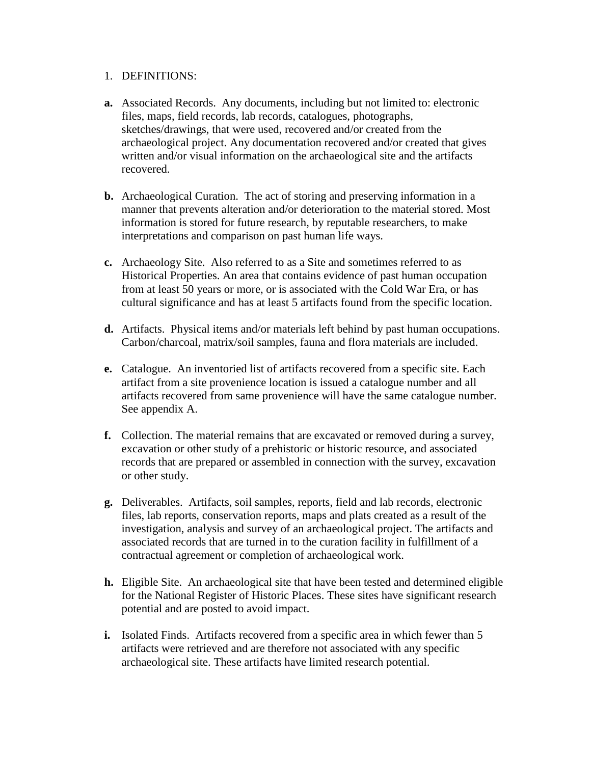#### 1. DEFINITIONS:

- **a.** Associated Records. Any documents, including but not limited to: electronic files, maps, field records, lab records, catalogues, photographs, sketches/drawings, that were used, recovered and/or created from the archaeological project. Any documentation recovered and/or created that gives written and/or visual information on the archaeological site and the artifacts recovered.
- **b.** Archaeological Curation. The act of storing and preserving information in a manner that prevents alteration and/or deterioration to the material stored. Most information is stored for future research, by reputable researchers, to make interpretations and comparison on past human life ways.
- **c.** Archaeology Site. Also referred to as a Site and sometimes referred to as Historical Properties. An area that contains evidence of past human occupation from at least 50 years or more, or is associated with the Cold War Era, or has cultural significance and has at least 5 artifacts found from the specific location.
- **d.** Artifacts. Physical items and/or materials left behind by past human occupations. Carbon/charcoal, matrix/soil samples, fauna and flora materials are included.
- **e.** Catalogue. An inventoried list of artifacts recovered from a specific site. Each artifact from a site provenience location is issued a catalogue number and all artifacts recovered from same provenience will have the same catalogue number. See appendix A.
- **f.** Collection. The material remains that are excavated or removed during a survey, excavation or other study of a prehistoric or historic resource, and associated records that are prepared or assembled in connection with the survey, excavation or other study.
- **g.** Deliverables. Artifacts, soil samples, reports, field and lab records, electronic files, lab reports, conservation reports, maps and plats created as a result of the investigation, analysis and survey of an archaeological project. The artifacts and associated records that are turned in to the curation facility in fulfillment of a contractual agreement or completion of archaeological work.
- **h.** Eligible Site. An archaeological site that have been tested and determined eligible for the National Register of Historic Places. These sites have significant research potential and are posted to avoid impact.
- **i.** Isolated Finds. Artifacts recovered from a specific area in which fewer than 5 artifacts were retrieved and are therefore not associated with any specific archaeological site. These artifacts have limited research potential.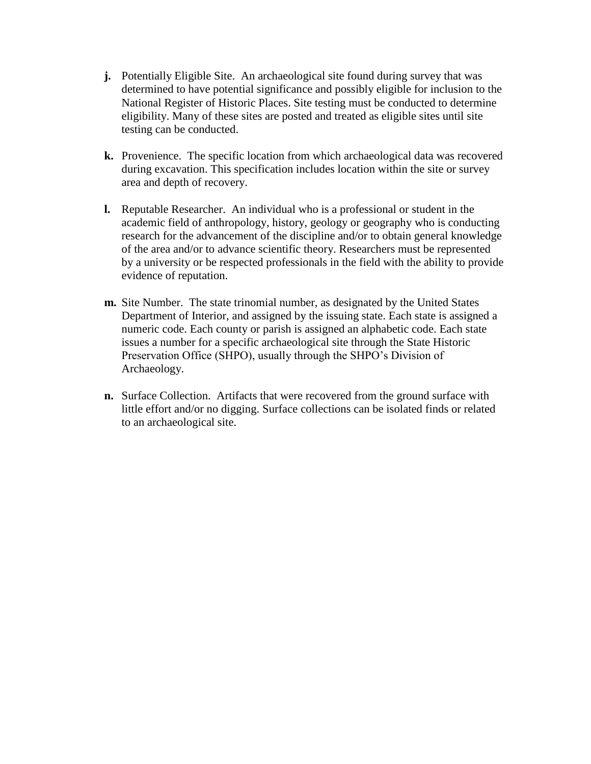- **j.** Potentially Eligible Site. An archaeological site found during survey that was determined to have potential significance and possibly eligible for inclusion to the National Register of Historic Places. Site testing must be conducted to determine eligibility. Many of these sites are posted and treated as eligible sites until site testing can be conducted.
- **k.** Provenience. The specific location from which archaeological data was recovered during excavation. This specification includes location within the site or survey area and depth of recovery.
- **l.** Reputable Researcher. An individual who is a professional or student in the academic field of anthropology, history, geology or geography who is conducting research for the advancement of the discipline and/or to obtain general knowledge of the area and/or to advance scientific theory. Researchers must be represented by a university or be respected professionals in the field with the ability to provide evidence of reputation.
- **m.** Site Number. The state trinomial number, as designated by the United States Department of Interior, and assigned by the issuing state. Each state is assigned a numeric code. Each county or parish is assigned an alphabetic code. Each state issues a number for a specific archaeological site through the State Historic Preservation Office (SHPO), usually through the SHPO's Division of Archaeology.
- **n.** Surface Collection. Artifacts that were recovered from the ground surface with little effort and/or no digging. Surface collections can be isolated finds or related to an archaeological site.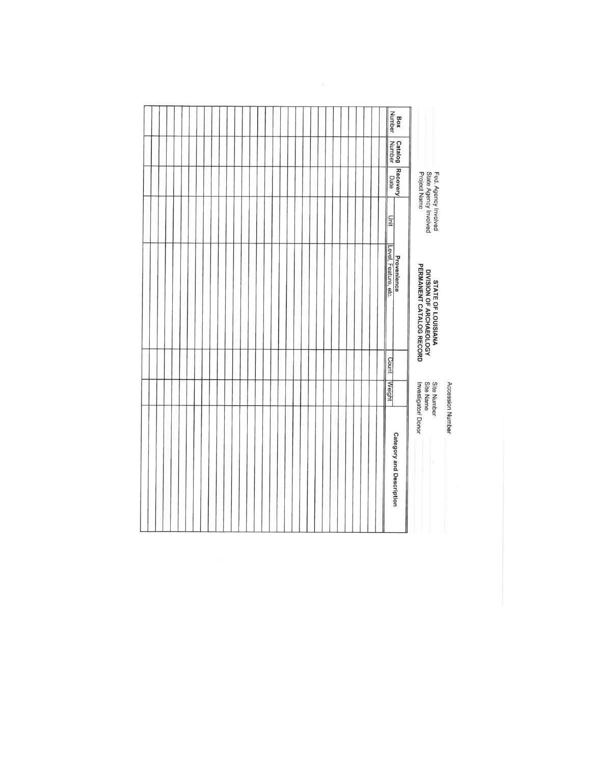|                      |                                 |                                                               |                                                                           |       |                          | Accession Number         |
|----------------------|---------------------------------|---------------------------------------------------------------|---------------------------------------------------------------------------|-------|--------------------------|--------------------------|
|                      |                                 | Fed. Agency Involved<br>State Agency Involved<br>Project Name | STATE OF LOUISIANA<br>DIVISION OF ARCHAEOLOGY<br>PERMANENT CATALOG RECORD |       | Site Number<br>Site Name | Investigator/ Donor      |
| <b>Box</b><br>Number | Catalog Recovery<br>Number Date |                                                               | Provenience                                                               |       |                          | Category and Description |
|                      |                                 | Unit                                                          | Level, Feature, etc.                                                      | Count | Weight                   |                          |
|                      |                                 |                                                               |                                                                           |       |                          |                          |
|                      |                                 |                                                               |                                                                           |       |                          |                          |
|                      |                                 |                                                               |                                                                           |       |                          |                          |
|                      |                                 |                                                               |                                                                           |       |                          |                          |
|                      |                                 |                                                               |                                                                           |       |                          |                          |
|                      |                                 |                                                               |                                                                           |       |                          |                          |
|                      |                                 |                                                               |                                                                           |       |                          |                          |
|                      |                                 |                                                               |                                                                           |       |                          |                          |
|                      |                                 |                                                               |                                                                           |       |                          |                          |
|                      |                                 |                                                               |                                                                           |       |                          |                          |
|                      |                                 |                                                               |                                                                           |       |                          |                          |
|                      |                                 |                                                               |                                                                           |       |                          |                          |
|                      |                                 |                                                               |                                                                           |       |                          |                          |
|                      |                                 |                                                               |                                                                           |       |                          |                          |
|                      |                                 |                                                               |                                                                           |       |                          |                          |
|                      |                                 |                                                               |                                                                           |       |                          |                          |
|                      |                                 |                                                               |                                                                           |       |                          |                          |
|                      |                                 |                                                               |                                                                           |       |                          |                          |
|                      |                                 |                                                               |                                                                           |       |                          |                          |
|                      |                                 |                                                               |                                                                           |       |                          |                          |
|                      |                                 |                                                               |                                                                           |       |                          |                          |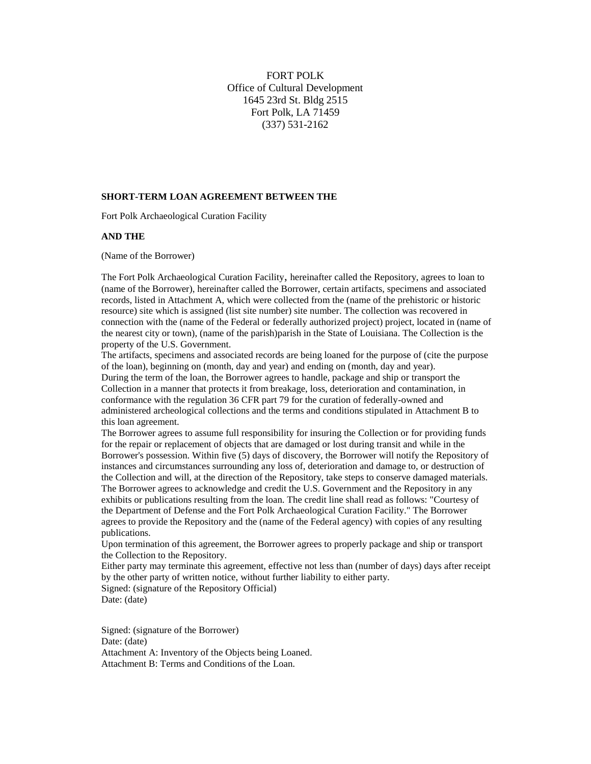FORT POLK Office of Cultural Development 1645 23rd St. Bldg 2515 Fort Polk, LA 71459 (337) 531-2162

#### **SHORT-TERM LOAN AGREEMENT BETWEEN THE**

Fort Polk Archaeological Curation Facility

#### **AND THE**

(Name of the Borrower)

The Fort Polk Archaeological Curation Facility, hereinafter called the Repository, agrees to loan to (name of the Borrower), hereinafter called the Borrower, certain artifacts, specimens and associated records, listed in Attachment A, which were collected from the (name of the prehistoric or historic resource) site which is assigned (list site number) site number. The collection was recovered in connection with the (name of the Federal or federally authorized project) project, located in (name of the nearest city or town), (name of the parish)parish in the State of Louisiana. The Collection is the property of the U.S. Government.

The artifacts, specimens and associated records are being loaned for the purpose of (cite the purpose of the loan), beginning on (month, day and year) and ending on (month, day and year). During the term of the loan, the Borrower agrees to handle, package and ship or transport the Collection in a manner that protects it from breakage, loss, deterioration and contamination, in conformance with the regulation 36 CFR part 79 for the curation of federally-owned and administered archeological collections and the terms and conditions stipulated in Attachment B to this loan agreement.

The Borrower agrees to assume full responsibility for insuring the Collection or for providing funds for the repair or replacement of objects that are damaged or lost during transit and while in the Borrower's possession. Within five (5) days of discovery, the Borrower will notify the Repository of instances and circumstances surrounding any loss of, deterioration and damage to, or destruction of the Collection and will, at the direction of the Repository, take steps to conserve damaged materials. The Borrower agrees to acknowledge and credit the U.S. Government and the Repository in any exhibits or publications resulting from the loan. The credit line shall read as follows: "Courtesy of the Department of Defense and the Fort Polk Archaeological Curation Facility." The Borrower agrees to provide the Repository and the (name of the Federal agency) with copies of any resulting publications.

Upon termination of this agreement, the Borrower agrees to properly package and ship or transport the Collection to the Repository.

Either party may terminate this agreement, effective not less than (number of days) days after receipt by the other party of written notice, without further liability to either party.

Signed: (signature of the Repository Official) Date: (date)

Signed: (signature of the Borrower) Date: (date) Attachment A: Inventory of the Objects being Loaned. Attachment B: Terms and Conditions of the Loan.